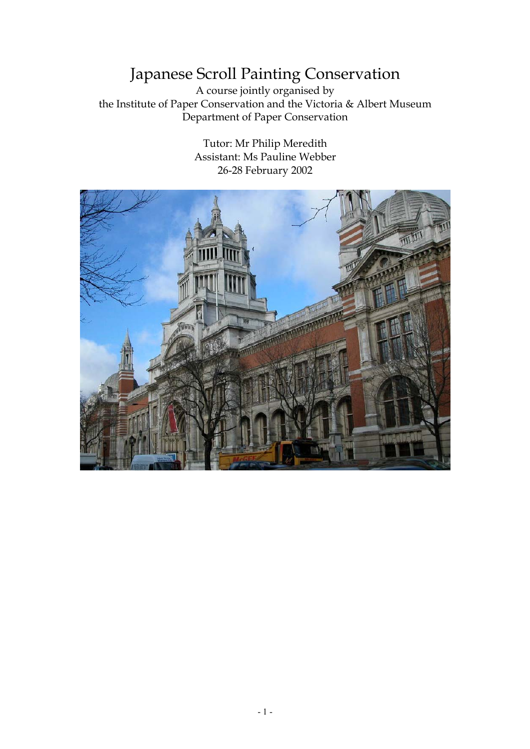## Japanese Scroll Painting Conservation

A course jointly organised by the Institute of Paper Conservation and the Victoria & Albert Museum Department of Paper Conservation

> Tutor: Mr Philip Meredith Assistant: Ms Pauline Webber 26-28 February 2002

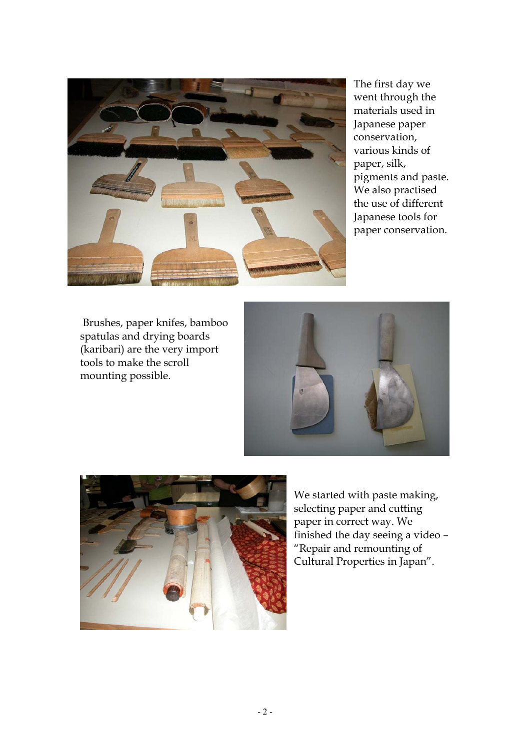

The first day we went through the materials used in Japanese paper conservation, various kinds of paper, silk, pigments and paste. We also practised the use of different Japanese tools for paper conservation.

 Brushes, paper knifes, bamboo spatulas and drying boards (karibari) are the very import tools to make the scroll mounting possible.





We started with paste making, selecting paper and cutting paper in correct way. We finished the day seeing a video – "Repair and remounting of Cultural Properties in Japan".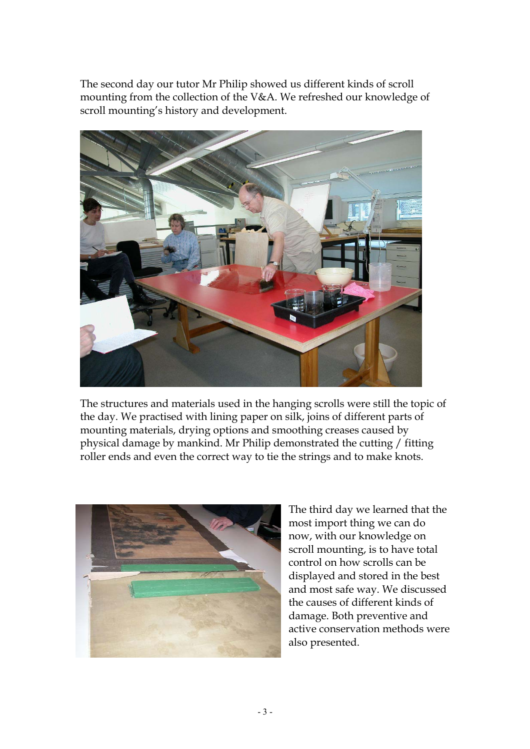The second day our tutor Mr Philip showed us different kinds of scroll mounting from the collection of the V&A. We refreshed our knowledge of scroll mounting's history and development.



The structures and materials used in the hanging scrolls were still the topic of the day. We practised with lining paper on silk, joins of different parts of mounting materials, drying options and smoothing creases caused by physical damage by mankind. Mr Philip demonstrated the cutting / fitting roller ends and even the correct way to tie the strings and to make knots.



The third day we learned that the most import thing we can do now, with our knowledge on scroll mounting, is to have total control on how scrolls can be displayed and stored in the best and most safe way. We discussed the causes of different kinds of damage. Both preventive and active conservation methods were also presented.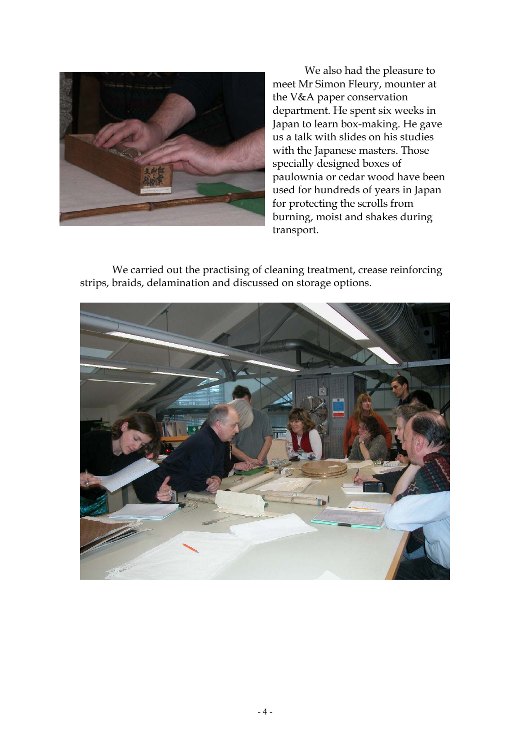

We also had the pleasure to meet Mr Simon Fleury, mounter at the V&A paper conservation department. He spent six weeks in Japan to learn box-making. He gave us a talk with slides on his studies with the Japanese masters. Those specially designed boxes of paulownia or cedar wood have been used for hundreds of years in Japan for protecting the scrolls from burning, moist and shakes during transport.

We carried out the practising of cleaning treatment, crease reinforcing strips, braids, delamination and discussed on storage options.

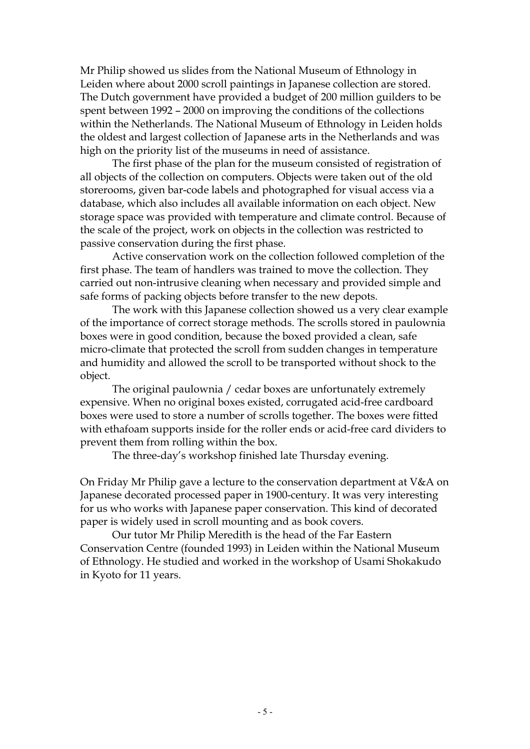Mr Philip showed us slides from the National Museum of Ethnology in Leiden where about 2000 scroll paintings in Japanese collection are stored. The Dutch government have provided a budget of 200 million guilders to be spent between 1992 – 2000 on improving the conditions of the collections within the Netherlands. The National Museum of Ethnology in Leiden holds the oldest and largest collection of Japanese arts in the Netherlands and was high on the priority list of the museums in need of assistance.

The first phase of the plan for the museum consisted of registration of all objects of the collection on computers. Objects were taken out of the old storerooms, given bar-code labels and photographed for visual access via a database, which also includes all available information on each object. New storage space was provided with temperature and climate control. Because of the scale of the project, work on objects in the collection was restricted to passive conservation during the first phase.

Active conservation work on the collection followed completion of the first phase. The team of handlers was trained to move the collection. They carried out non-intrusive cleaning when necessary and provided simple and safe forms of packing objects before transfer to the new depots.

The work with this Japanese collection showed us a very clear example of the importance of correct storage methods. The scrolls stored in paulownia boxes were in good condition, because the boxed provided a clean, safe micro-climate that protected the scroll from sudden changes in temperature and humidity and allowed the scroll to be transported without shock to the object.

The original paulownia / cedar boxes are unfortunately extremely expensive. When no original boxes existed, corrugated acid-free cardboard boxes were used to store a number of scrolls together. The boxes were fitted with ethafoam supports inside for the roller ends or acid-free card dividers to prevent them from rolling within the box.

The three-day's workshop finished late Thursday evening.

On Friday Mr Philip gave a lecture to the conservation department at V&A on Japanese decorated processed paper in 1900-century. It was very interesting for us who works with Japanese paper conservation. This kind of decorated paper is widely used in scroll mounting and as book covers.

Our tutor Mr Philip Meredith is the head of the Far Eastern Conservation Centre (founded 1993) in Leiden within the National Museum of Ethnology. He studied and worked in the workshop of Usami Shokakudo in Kyoto for 11 years.